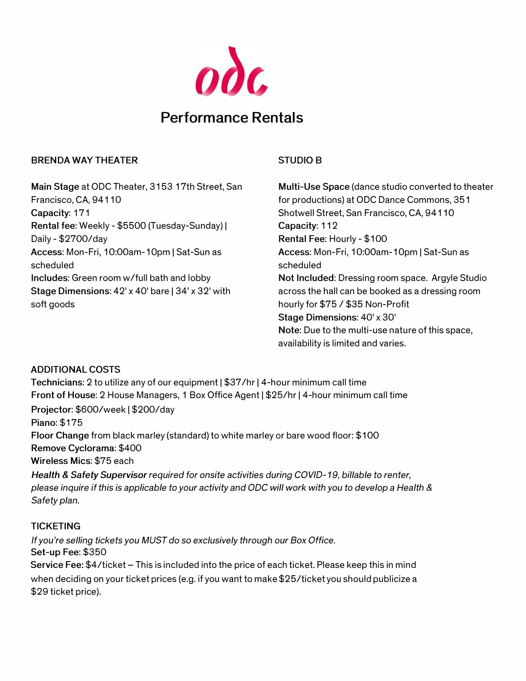

# **Performance Rentals**

#### **BRENDA WAY THEATER**

**Main Stage** at ODC Theater, 3153 17th Street, San Francisco, CA, 94110 **Capacity:** 171 **Rental fee:** Weekly - \$5500 (Tuesday-Sunday) I Daily - \$2700/day **Access:** Mon-Fri, 10:00am-10pm I Sat-Sun as scheduled **Includes:** Green room w/full bath and lobby **Stage Dimensions: 42' x 40' bare | 34' x 32' with** soft goods

## **STUDIO B**

**Multi-Use Space** (dance studio converted to theater for productions) at ODC Dance Commons, 351 Shotwell Street, San Francisco, CA, 94110 Capacity: 112 **Rental Fee:** Hourly - \$100 **Access:** Mon-Fri, 1 O:OOam-1 Opm I Sat-Sun as scheduled **Not Included:** Dressing room space. Argyle Studio across the hall can be booked as a dressing room hourly for \$75 / \$35 Non-Profit **Stage Dimensions:** 40' x 30' **Note:** Due to the multi-use nature of this space, availability is limited and varies.

### **ADDITIONAL COSTS**

Technicians: 2 to utilize any of our equipment | \$37/hr | 4-hour minimum call time **Front of House:** 2 House Managers, 1 Box Office Agent I \$25/hr 14-hour minimum call time **Projector:** \$600/week I \$200/day **Piano:** \$175 **Floor Change** from black marley (standard) to white marley or bare wood floor: \$100 **Remove Cyclorama:** \$400 **Wireless Mies:** \$75 each *Health* & *Safety Supervisor required for onsite activities during COV/0-19, billable to renter, please inquire if this is applicable to your activity and ODC will work with you to develop* a *Health* &

*Safety plan.* 

### **TICKETING**

*If you're selling tickets you MUST do* so *exclusively through our Box Office.*  **Set-up Fee:** \$350 Service Fee: \$4/ticket - This is included into the price of each ticket. Please keep this in mind when deciding on your ticket prices (e.g. if you want to make \$25/ticket you should publicize a \$29 ticket price).